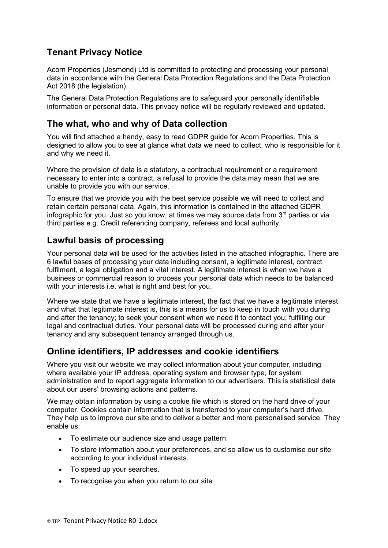# **Tenant Privacy Notice**

Acorn Properties (Jesmond) Ltd is committed to protecting and processing your personal data in accordance with the General Data Protection Regulations and the Data Protection Act 2018 (the legislation).

The General Data Protection Regulations are to safeguard your personally identifiable information or personal data. This privacy notice will be regularly reviewed and updated.

### **The what, who and why of Data collection**

You will find attached a handy, easy to read GDPR guide for Acorn Properties. This is designed to allow you to see at glance what data we need to collect, who is responsible for it and why we need it.

Where the provision of data is a statutory, a contractual requirement or a requirement necessary to enter into a contract, a refusal to provide the data may mean that we are unable to provide you with our service.

To ensure that we provide you with the best service possible we will need to collect and retain certain personal data. Again, this information is contained in the attached GDPR infographic for you. Just so you know, at times we may source data from  $3<sup>rd</sup>$  parties or via third parties e.g. Credit referencing company, referees and local authority.

## **Lawful basis of processing**

Your personal data will be used for the activities listed in the attached infographic. There are 6 lawful bases of processing your data including consent, a legitimate interest, contract fulfilment, a legal obligation and a vital interest. A legitimate interest is when we have a business or commercial reason to process your personal data which needs to be balanced with your interests i.e. what is right and best for you.

Where we state that we have a legitimate interest, the fact that we have a legitimate interest and what that legitimate interest is, this is a means for us to keep in touch with you during and after the tenancy; to seek your consent when we need it to contact you; fulfilling our legal and contractual duties. Your personal data will be processed during and after your tenancy and any subsequent tenancy arranged through us.

## **Online identifiers, IP addresses and cookie identifiers**

Where you visit our website we may collect information about your computer, including where available your IP address, operating system and browser type, for system administration and to report aggregate information to our advertisers. This is statistical data about our users' browsing actions and patterns.

We may obtain information by using a cookie file which is stored on the hard drive of your computer. Cookies contain information that is transferred to your computer's hard drive. They help us to improve our site and to deliver a better and more personalised service. They enable us:

- To estimate our audience size and usage pattern.
- To store information about your preferences, and so allow us to customise our site according to your individual interests.
- To speed up your searches.
- To recognise you when you return to our site.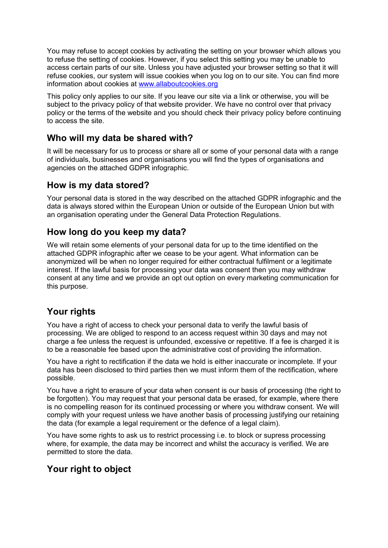You may refuse to accept cookies by activating the setting on your browser which allows you to refuse the setting of cookies. However, if you select this setting you may be unable to access certain parts of our site. Unless you have adjusted your browser setting so that it will refuse cookies, our system will issue cookies when you log on to our site. You can find more information about cookies at [www.allaboutcookies.org](http://www.allaboutcookies.org/)

This policy only applies to our site. If you leave our site via a link or otherwise, you will be subject to the privacy policy of that website provider. We have no control over that privacy policy or the terms of the website and you should check their privacy policy before continuing to access the site.

### **Who will my data be shared with?**

It will be necessary for us to process or share all or some of your personal data with a range of individuals, businesses and organisations you will find the types of organisations and agencies on the attached GDPR infographic.

#### **How is my data stored?**

Your personal data is stored in the way described on the attached GDPR infographic and the data is always stored within the European Union or outside of the European Union but with an organisation operating under the General Data Protection Regulations.

### **How long do you keep my data?**

We will retain some elements of your personal data for up to the time identified on the attached GDPR infographic after we cease to be your agent. What information can be anonymized will be when no longer required for either contractual fulfilment or a legitimate interest. If the lawful basis for processing your data was consent then you may withdraw consent at any time and we provide an opt out option on every marketing communication for this purpose.

## **Your rights**

You have a right of access to check your personal data to verify the lawful basis of processing. We are obliged to respond to an access request within 30 days and may not charge a fee unless the request is unfounded, excessive or repetitive. If a fee is charged it is to be a reasonable fee based upon the administrative cost of providing the information.

You have a right to rectification if the data we hold is either inaccurate or incomplete. If your data has been disclosed to third parties then we must inform them of the rectification, where possible.

You have a right to erasure of your data when consent is our basis of processing (the right to be forgotten). You may request that your personal data be erased, for example, where there is no compelling reason for its continued processing or where you withdraw consent. We will comply with your request unless we have another basis of processing justifying our retaining the data (for example a legal requirement or the defence of a legal claim).

You have some rights to ask us to restrict processing i.e. to block or supress processing where, for example, the data may be incorrect and whilst the accuracy is verified. We are permitted to store the data.

#### **Your right to object**